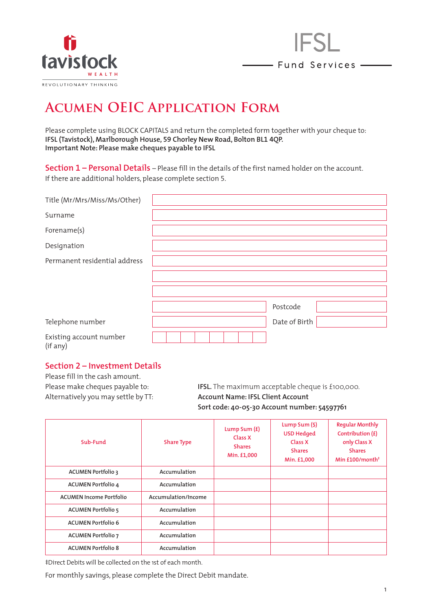



# **Acumen OEIC Application Form**

Please complete using BLOCK CAPITALS and return the completed form together with your cheque to: **IFSL (Tavistock), Marlborough House, 59 Chorley New Road, Bolton BL1 4QP. Important Note: Please make cheques payable to IFSL**

**Section 1 – Personal Details** – Please fill in the details of the first named holder on the account. If there are additional holders, please complete section 5.

| Title (Mr/Mrs/Miss/Ms/Other)  |  |  |  |               |  |
|-------------------------------|--|--|--|---------------|--|
| Surname                       |  |  |  |               |  |
| Forename(s)                   |  |  |  |               |  |
| Designation                   |  |  |  |               |  |
| Permanent residential address |  |  |  |               |  |
|                               |  |  |  |               |  |
|                               |  |  |  |               |  |
|                               |  |  |  | Postcode      |  |
| Telephone number              |  |  |  | Date of Birth |  |
| Existing account number       |  |  |  |               |  |

#### (if any)

#### **Section <sup>2</sup> – Investment Details**

Please fill in the cash amount.

Please make cheques payable to: **IFSL.** The maximum acceptable cheque is £100,000. Alternatively you may settle by TT: **Account Name: IFSL Client Account Sort code: 40-05-30 Account number: 54597761**

| Sub-Fund                       | <b>Share Type</b>   | Lump Sum $(f)$<br>Class X<br><b>Shares</b><br>Min. £1,000 | Lump Sum $(\xi)$<br><b>USD Hedged</b><br>Class X<br><b>Shares</b><br>Min. £1,000 | <b>Reqular Monthly</b><br>Contribution $(f)$<br>only Class X<br><b>Shares</b><br>Min $£100/m$ onth <sup>‡</sup> |
|--------------------------------|---------------------|-----------------------------------------------------------|----------------------------------------------------------------------------------|-----------------------------------------------------------------------------------------------------------------|
| <b>ACUMEN Portfolio 3</b>      | Accumulation        |                                                           |                                                                                  |                                                                                                                 |
| <b>ACUMEN Portfolio 4</b>      | Accumulation        |                                                           |                                                                                  |                                                                                                                 |
| <b>ACUMEN Income Portfolio</b> | Accumulation/Income |                                                           |                                                                                  |                                                                                                                 |
| <b>ACUMEN Portfolio 5</b>      | Accumulation        |                                                           |                                                                                  |                                                                                                                 |
| <b>ACUMEN Portfolio 6</b>      | Accumulation        |                                                           |                                                                                  |                                                                                                                 |
| <b>ACUMEN Portfolio 7</b>      | Accumulation        |                                                           |                                                                                  |                                                                                                                 |
| <b>ACUMEN Portfolio 8</b>      | Accumulation        |                                                           |                                                                                  |                                                                                                                 |

‡Direct Debits will be collected on the 1st of each month.

For monthly savings, please complete the Direct Debit mandate.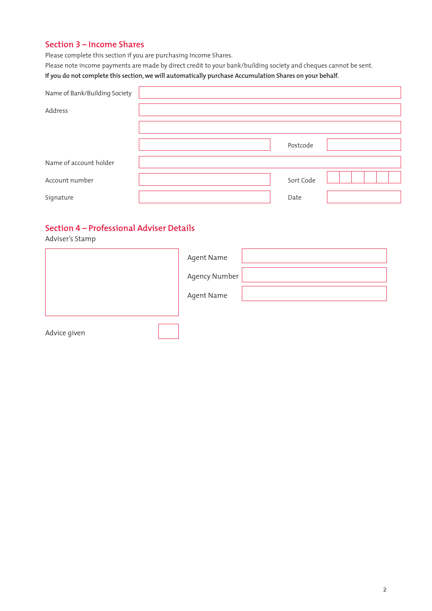#### **Section 3 – Income Shares**

Please complete this section if you are purchasing Income Shares.

Please note income payments are made by direct credit to your bank/building society and cheques cannot be sent. **If you do not complete this section, we will automatically purchase Accumulation Shares on your behalf.**

| Name of Bank/Building Society |           |  |
|-------------------------------|-----------|--|
| Address                       |           |  |
|                               |           |  |
|                               | Postcode  |  |
| Name of account holder        |           |  |
| Account number                | Sort Code |  |
| Signature                     | Date      |  |

### **Section 4 – Professional Adviser Details**

Adviser's Stamp

|              | Agent Name    |
|--------------|---------------|
|              | Agency Number |
|              | Agent Name    |
|              |               |
| Advice given |               |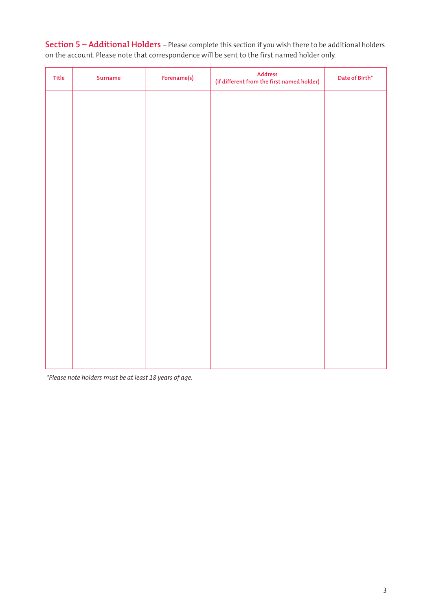**Section 5 – Additional Holders** – Please complete this section if you wish there to be additional holders on the account. Please note that correspondence will be sent to the first named holder only.

| Title | Surname | Forename(s) | $Address$<br>(if different from the first named holder) | Date of Birth* |
|-------|---------|-------------|---------------------------------------------------------|----------------|
|       |         |             |                                                         |                |
|       |         |             |                                                         |                |
|       |         |             |                                                         |                |
|       |         |             |                                                         |                |
|       |         |             |                                                         |                |
|       |         |             |                                                         |                |
|       |         |             |                                                         |                |
|       |         |             |                                                         |                |
|       |         |             |                                                         |                |
|       |         |             |                                                         |                |
|       |         |             |                                                         |                |
|       |         |             |                                                         |                |

*\*Please note holders must be at least 18 years of age.*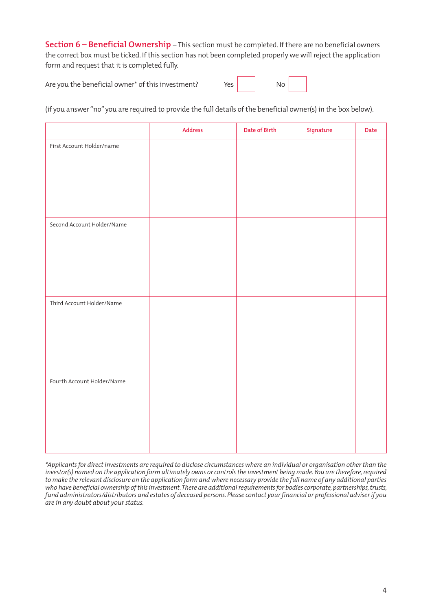**Section 6 – Beneficial Ownership** – This section must be completed. If there are no beneficial owners the correct box must be ticked. If this section has not been completed properly we will reject the application form and request that it is completed fully.

Are you the beneficial owner\* of this investment? Yes

| No<br>__ |  |
|----------|--|
|          |  |

(if you answer "no" you are required to provide the full details of the beneficial owner(s) in the box below).

|                            | <b>Address</b> | Date of Birth | Signature | Date |
|----------------------------|----------------|---------------|-----------|------|
| First Account Holder/name  |                |               |           |      |
|                            |                |               |           |      |
|                            |                |               |           |      |
|                            |                |               |           |      |
|                            |                |               |           |      |
| Second Account Holder/Name |                |               |           |      |
|                            |                |               |           |      |
|                            |                |               |           |      |
|                            |                |               |           |      |
|                            |                |               |           |      |
| Third Account Holder/Name  |                |               |           |      |
|                            |                |               |           |      |
|                            |                |               |           |      |
|                            |                |               |           |      |
|                            |                |               |           |      |
| Fourth Account Holder/Name |                |               |           |      |
|                            |                |               |           |      |
|                            |                |               |           |      |
|                            |                |               |           |      |
|                            |                |               |           |      |

*\*Applicants for direct investments are required to disclose circumstances where an individual or organisation other than the investor(s) named on the application form ultimately owns or controls the investment being made. You are therefore, required to make the relevant disclosure on the application form and where necessary provide the full name of any additional parties who have beneficial ownership of this investment. There are additional requirements for bodies corporate, partnerships, trusts, fund administrators/distributors and estates of deceased persons. Please contact your financial or professional adviser if you are in any doubt about your status.*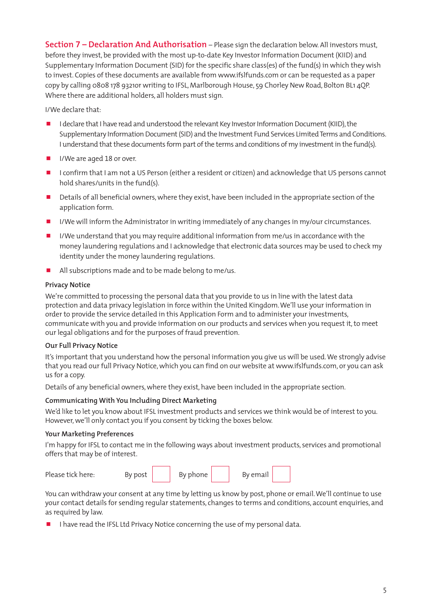**Section 7 – Declaration And Authorisation** – Please sign the declaration below. All investors must, before they invest, be provided with the most up-to-date Key Investor Information Document (KIID) and Supplementary Information Document (SID) for the specific share class(es) of the fund(s) in which they wish to invest. Copies of these documents are available from www.ifslfunds.com or can be requested as a paper copy by calling 0808 178 9321or writing to IFSL, Marlborough House, 59 Chorley New Road, Bolton BL1 4QP. Where there are additional holders, all holders must sign.

I/We declare that:

- I declare that I have read and understood the relevant Key Investor Information Document (KIID), the Supplementary Information Document (SID) and the Investment Fund Services Limited Terms and Conditions. I understand that these documents form part of the terms and conditions of my investment in the fund(s).
- I I/We are aged 18 or over.
- **I** confirm that I am not a US Person (either a resident or citizen) and acknowledge that US persons cannot hold shares/units in the fund(s).
- Details of all beneficial owners, where they exist, have been included in the appropriate section of the application form.
- I/We will inform the Administrator in writing immediately of any changes in my/our circumstances.
- I/We understand that you may require additional information from me/us in accordance with the money laundering regulations and I acknowledge that electronic data sources may be used to check my identity under the money laundering regulations.
- All subscriptions made and to be made belong to me/us.

#### **Privacy Notice**

We're committed to processing the personal data that you provide to us in line with the latest data protection and data privacy legislation in force within the United Kingdom. We'll use your information in order to provide the service detailed in this Application Form and to administer your investments, communicate with you and provide information on our products and services when you request it, to meet our legal obligations and for the purposes of fraud prevention.

#### **Our Full Privacy Notice**

It's important that you understand how the personal information you give us will be used. We strongly advise that you read our full Privacy Notice, which you can find on our website at www.ifslfunds.com, or you can ask us for a copy.

Details of any beneficial owners, where they exist, have been included in the appropriate section.

#### **Communicating With You Including Direct Marketing**

We'd like to let you know about IFSL investment products and services we think would be of interest to you. However, we'll only contact you if you consent by ticking the boxes below.

#### **Your Marketing Preferences**

I'm happy for IFSL to contact me in the following ways about investment products, services and promotional offers that may be of interest.

| Please tick here: | By post | By phone | By email |  |
|-------------------|---------|----------|----------|--|
|                   |         |          |          |  |

You can withdraw your consent at any time by letting us know by post, phone or email. We'll continue to use your contact details for sending regular statements, changes to terms and conditions, account enquiries, and as required by law.

 $\blacksquare$  I have read the IFSL Ltd Privacy Notice concerning the use of my personal data.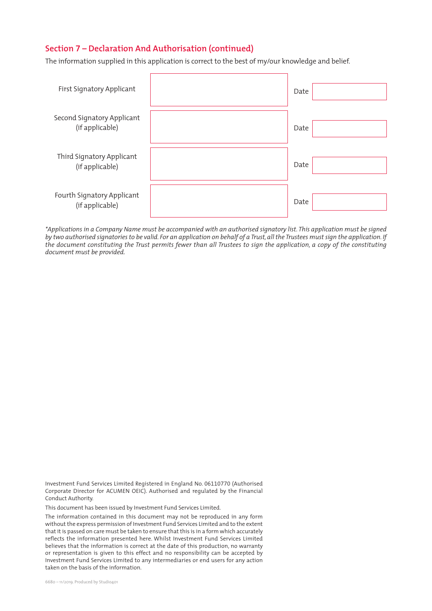#### **Section 7 – Declaration And Authorisation (continued)**

The information supplied in this application is correct to the best of my/our knowledge and belief.

| First Signatory Applicant                     | Date |
|-----------------------------------------------|------|
| Second Signatory Applicant<br>(if applicable) | Date |
| Third Signatory Applicant<br>(if applicable)  | Date |
| Fourth Signatory Applicant<br>(if applicable) | Date |

*\*Applications in a Company Name must be accompanied with an authorised signatory list. This application must be signed by two authorised signatories to be valid. For an application on behalf of a Trust, all the Trustees must sign the application. If the document constituting the Trust permits fewer than all Trustees to sign the application, a copy of the constituting document must be provided.*

Investment Fund Services Limited Registered in England No. 06110770 (Authorised Corporate Director for ACUMEN OEIC). Authorised and regulated by the Financial Conduct Authority.

This document has been issued by Investment Fund Services Limited.

The information contained in this document may not be reproduced in any form without the express permission of Investment Fund Services Limited and to the extent that it is passed on care must be taken to ensure that this is in a form which accurately reflects the information presented here. Whilst Investment Fund Services Limited believes that the information is correct at the date of this production, no warranty or representation is given to this effect and no responsibility can be accepted by Investment Fund Services Limited to any intermediaries or end users for any action taken on the basis of the information.